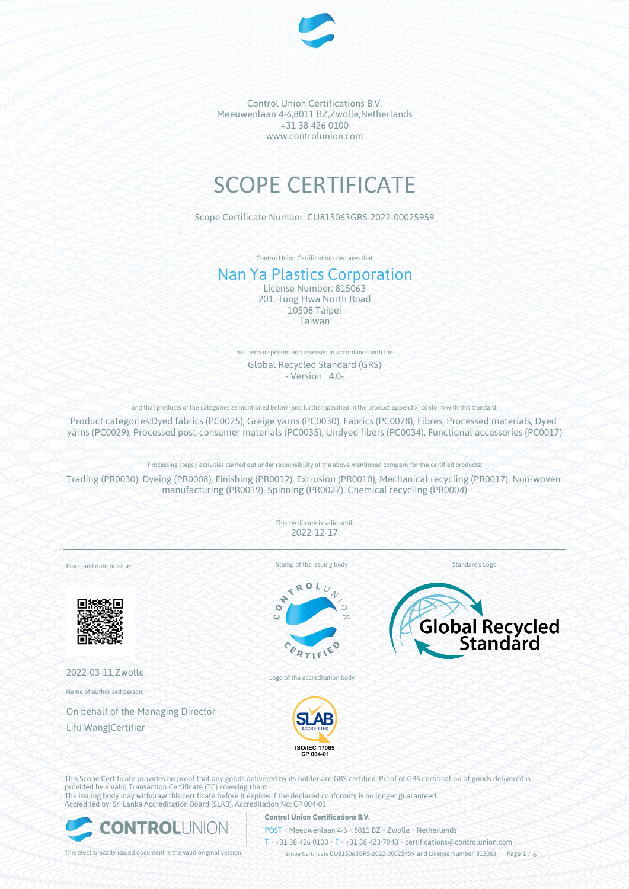

# SCOPE CERTIFICATE

Scope Certificate Number: CU815063GRS-2022-00025959

Control Union Certifications declares that

# Nan Ya Plastics Corporation

License Number: 815063 201, Tung Hwa North Road 10508 Taipei Taiwan

has been inspected and assessed in accordance with the Global Recycled Standard (GRS) - Version 4.0-

and that products of the categories as mentioned below (and further specified in the product appendix) conform with this standard.

Product categories:Dyed fabrics (PC0025), Greige yarns (PC0030), Fabrics (PC0028), Fibres, Processed materials, Dyed yarns (PC0029), Processed post-consumer materials (PC0035), Undyed fibers (PC0034), Functional accessories (PC0017)

Processing steps / activities carried out under responsibility of the above mentioned company for the certified products:

Trading (PR0030), Dyeing (PR0008), Finishing (PR0012), Extrusion (PR0010), Mechanical recycling (PR0017), Non-woven manufacturing (PR0019), Spinning (PR0027), Chemical recycling (PR0004)

> This certificate is valid until: 2022-12-17

Place and date of issue:



2022-03-11,Zwolle

Name of authorised person:

On behalf of the Managing Director Lifu Wang|Certifier

Stamp of the issuing body

RO × ÷  $\bullet$ 

Standard's Logo



Logo of the accreditation body



This Scope Certificate provides no proof that any goods delivered by its holder are GRS certified. Proof of GRS certification of goods delivered is provided by a valid Transaction Certificate (TC) covering them. The issuing body may withdraw this certificate before it expires if the declared conformity is no longer guaranteed. Accredited by: Sri Lanka Accreditation Board (SLAB), Accreditation No: CP 004-01



# **Control Union Certifications B.V.**

POST • Meeuwenlaan 4-6 • 8011 BZ • Zwolle • Netherlands

T • +31 38 426 0100 • F • +31 38 423 7040 • certifications@controlunion.com •

This electronically issued document is the valid original version.  $\gtrsim$  Scope Certificate CU815063GRS-2022-00025959 and License Number 815063 Page 1 / 6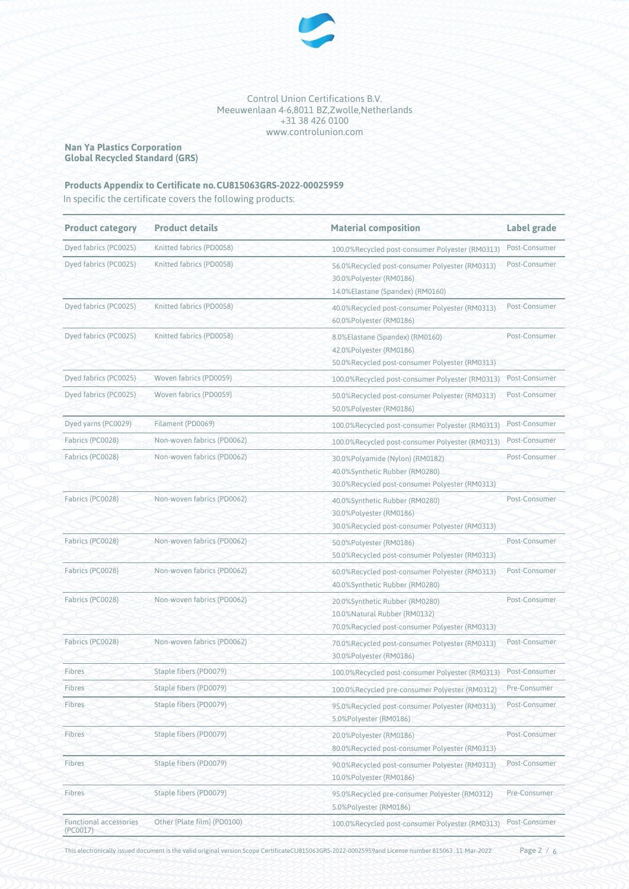

# **Nan Ya Plastics Corporation Global Recycled Standard (GRS)**

# **Products Appendix to Certificate no.CU815063GRS-2022-00025959**

In specific the certificate covers the following products:

| <b>Product category</b>                   | <b>Product details</b>      | <b>Material composition</b>                                                                                         | Label grade   |
|-------------------------------------------|-----------------------------|---------------------------------------------------------------------------------------------------------------------|---------------|
| Dyed fabrics (PC0025)                     | Knitted fabrics (PD0058)    | 100.0%Recycled post-consumer Polyester (RM0313)                                                                     | Post-Consumer |
| Dyed fabrics (PC0025)                     | Knitted fabrics (PD0058)    | 56.0%Recycled post-consumer Polyester (RM0313)<br>30.0%Polyester (RM0186)<br>14.0%Elastane (Spandex) (RM0160)       | Post-Consumer |
| Dyed fabrics (PC0025)                     | Knitted fabrics (PD0058)    | 40.0%Recycled post-consumer Polyester (RM0313)<br>60.0%Polyester (RM0186)                                           | Post-Consumer |
| Dyed fabrics (PC0025)                     | Knitted fabrics (PD0058)    | 8.0%Elastane (Spandex) (RM0160)<br>42.0%Polyester (RM0186)<br>50.0%Recycled post-consumer Polyester (RM0313)        | Post-Consumer |
| Dyed fabrics (PC0025)                     | Woven fabrics (PD0059)      | 100.0%Recycled post-consumer Polyester (RM0313)                                                                     | Post-Consumer |
| Dyed fabrics (PC0025)                     | Woven fabrics (PD0059)      | 50.0%Recycled post-consumer Polyester (RM0313)<br>50.0%Polyester (RM0186)                                           | Post-Consumer |
| Dyed yarns (PC0029)                       | Filament (PD0069)           | 100.0%Recycled post-consumer Polyester (RM0313)                                                                     | Post-Consumer |
| Fabrics (PC0028)                          | Non-woven fabrics (PD0062)  | 100.0%Recycled post-consumer Polyester (RM0313)                                                                     | Post-Consumer |
| Fabrics (PC0028)                          | Non-woven fabrics (PD0062)  | 30.0%Polyamide (Nylon) (RM0182)<br>40.0%Synthetic Rubber (RM0280)<br>30.0%Recycled post-consumer Polyester (RM0313) | Post-Consumer |
| Fabrics (PC0028)                          | Non-woven fabrics (PD0062)  | 40.0%Synthetic Rubber (RM0280)<br>30.0%Polyester (RM0186)<br>30.0%Recycled post-consumer Polyester (RM0313)         | Post-Consumer |
| Fabrics (PC0028)                          | Non-woven fabrics (PD0062)  | 50.0%Polyester (RM0186)<br>50.0%Recycled post-consumer Polyester (RM0313)                                           | Post-Consumer |
| Fabrics (PC0028)                          | Non-woven fabrics (PD0062)  | 60.0%Recycled post-consumer Polyester (RM0313)<br>40.0%Synthetic Rubber (RM0280)                                    | Post-Consumer |
| Fabrics (PC0028)                          | Non-woven fabrics (PD0062)  | 20.0%Synthetic Rubber (RM0280)<br>10.0%Natural Rubber (RM0132)<br>70.0%Recycled post-consumer Polyester (RM0313)    | Post-Consumer |
| Fabrics (PC0028)                          | Non-woven fabrics (PD0062)  | 70.0%Recycled post-consumer Polyester (RM0313)<br>30.0%Polyester (RM0186)                                           | Post-Consumer |
| Fibres                                    | Staple fibers (PD0079)      | 100.0%Recycled post-consumer Polyester (RM0313)                                                                     | Post-Consumer |
| Fibres                                    | Staple fibers (PD0079)      | 100.0%Recycled pre-consumer Polyester (RM0312)                                                                      | Pre-Consumer  |
| Fibres                                    | Staple fibers (PD0079)      | 95.0%Recycled post-consumer Polyester (RM0313)<br>5.0%Polyester (RM0186)                                            | Post-Consumer |
| Fibres                                    | Staple fibers (PD0079)      | 20.0%Polyester (RM0186)<br>80.0%Recycled post-consumer Polyester (RM0313)                                           | Post-Consumer |
| <b>Fibres</b>                             | Staple fibers (PD0079)      | 90.0%Recycled post-consumer Polyester (RM0313)<br>10.0%Polyester (RM0186)                                           | Post-Consumer |
| Fibres                                    | Staple fibers (PD0079)      | 95.0%Recycled pre-consumer Polyester (RM0312)<br>5.0%Polyester (RM0186)                                             | Pre-Consumer  |
| <b>Functional accessories</b><br>(PC0017) | Other [Plate film] (PD0100) | 100.0%Recycled post-consumer Polyester (RM0313)                                                                     | Post-Consumer |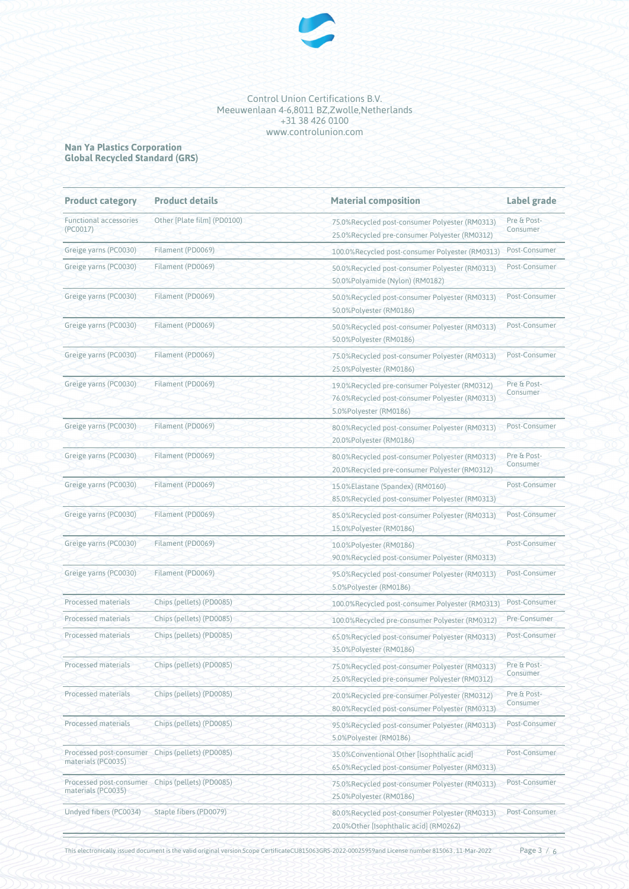

#### **Nan Ya Plastics Corporation Global Recycled Standard (GRS)**

| <b>Product category</b>                                                | <b>Product details</b>      | <b>Material composition</b>                                                                                               | Label grade             |
|------------------------------------------------------------------------|-----------------------------|---------------------------------------------------------------------------------------------------------------------------|-------------------------|
| <b>Functional accessories</b><br>(PC0017)                              | Other [Plate film] (PD0100) | 75.0%Recycled post-consumer Polyester (RM0313)<br>25.0%Recycled pre-consumer Polyester (RM0312)                           | Pre & Post-<br>Consumer |
| Greige yarns (PC0030)                                                  | Filament (PD0069)           | 100.0%Recycled post-consumer Polyester (RM0313)                                                                           | Post-Consumer           |
| Greige yarns (PC0030)                                                  | Filament (PD0069)           | 50.0%Recycled post-consumer Polyester (RM0313)<br>50.0%Polyamide (Nylon) (RM0182)                                         | Post-Consumer           |
| Greige yarns (PC0030)                                                  | Filament (PD0069)           | 50.0%Recycled post-consumer Polyester (RM0313)<br>50.0%Polyester (RM0186)                                                 | Post-Consumer           |
| Greige yarns (PC0030)                                                  | Filament (PD0069)           | 50.0%Recycled post-consumer Polyester (RM0313)<br>50.0%Polyester (RM0186)                                                 | Post-Consumer           |
| Greige yarns (PC0030)                                                  | Filament (PD0069)           | 75.0%Recycled post-consumer Polyester (RM0313)<br>25.0%Polyester (RM0186)                                                 | Post-Consumer           |
| Greige yarns (PC0030)                                                  | Filament (PD0069)           | 19.0%Recycled pre-consumer Polyester (RM0312)<br>76.0%Recycled post-consumer Polyester (RM0313)<br>5.0%Polyester (RM0186) | Pre & Post-<br>Consumer |
| Greige yarns (PC0030)                                                  | Filament (PD0069)           | 80.0%Recycled post-consumer Polyester (RM0313)<br>20.0%Polyester (RM0186)                                                 | Post-Consumer           |
| Greige yarns (PC0030)                                                  | Filament (PD0069)           | 80.0%Recycled post-consumer Polyester (RM0313)<br>20.0%Recycled pre-consumer Polyester (RM0312)                           | Pre & Post-<br>Consumer |
| Greige yarns (PC0030)                                                  | Filament (PD0069)           | 15.0%Elastane (Spandex) (RM0160)<br>85.0%Recycled post-consumer Polyester (RM0313)                                        | Post-Consumer           |
| Greige yarns (PC0030)                                                  | Filament (PD0069)           | 85.0%Recycled post-consumer Polyester (RM0313)<br>15.0%Polyester (RM0186)                                                 | Post-Consumer           |
| Greige yarns (PC0030)                                                  | Filament (PD0069)           | 10.0%Polyester (RM0186)<br>90.0%Recycled post-consumer Polyester (RM0313)                                                 | Post-Consumer           |
| Greige yarns (PC0030)                                                  | Filament (PD0069)           | 95.0%Recycled post-consumer Polyester (RM0313)<br>5.0%Polyester (RM0186)                                                  | Post-Consumer           |
| Processed materials                                                    | Chips (pellets) (PD0085)    | 100.0%Recycled post-consumer Polyester (RM0313)                                                                           | Post-Consumer           |
| <b>Processed materials</b>                                             | Chips (pellets) (PD0085)    | 100.0%Recycled pre-consumer Polyester (RM0312)                                                                            | Pre-Consumer            |
| Processed materials                                                    | Chips (pellets) (PD0085)    | 65.0%Recycled post-consumer Polyester (RM0313)<br>35.0%Polyester (RM0186)                                                 | Post-Consumer           |
| Processed materials                                                    | Chips (pellets) (PD0085)    | 75.0%Recycled post-consumer Polyester (RM0313)<br>25.0%Recycled pre-consumer Polyester (RM0312)                           | Pre & Post-<br>Consumer |
| Processed materials                                                    | Chips (pellets) (PD0085)    | 20.0%Recycled pre-consumer Polyester (RM0312)<br>80.0%Recycled post-consumer Polyester (RM0313)                           | Pre & Post-<br>Consumer |
| Processed materials                                                    | Chips (pellets) (PD0085)    | 95.0%Recycled post-consumer Polyester (RM0313)<br>5.0%Polyester (RM0186)                                                  | Post-Consumer           |
| Processed post-consumer Chips (pellets) (PD0085)<br>materials (PC0035) |                             | 35.0%Conventional Other [Isophthalic acid]<br>65.0%Recycled post-consumer Polyester (RM0313)                              | Post-Consumer           |
| Processed post-consumer Chips (pellets) (PD0085)<br>materials (PC0035) |                             | 75.0%Recycled post-consumer Polyester (RM0313)<br>25.0%Polyester (RM0186)                                                 | Post-Consumer           |
| Undyed fibers (PC0034)                                                 | Staple fibers (PD0079)      | 80.0%Recycled post-consumer Polyester (RM0313)<br>20.0%Other [Isophthalic acid] (RM0262)                                  | Post-Consumer           |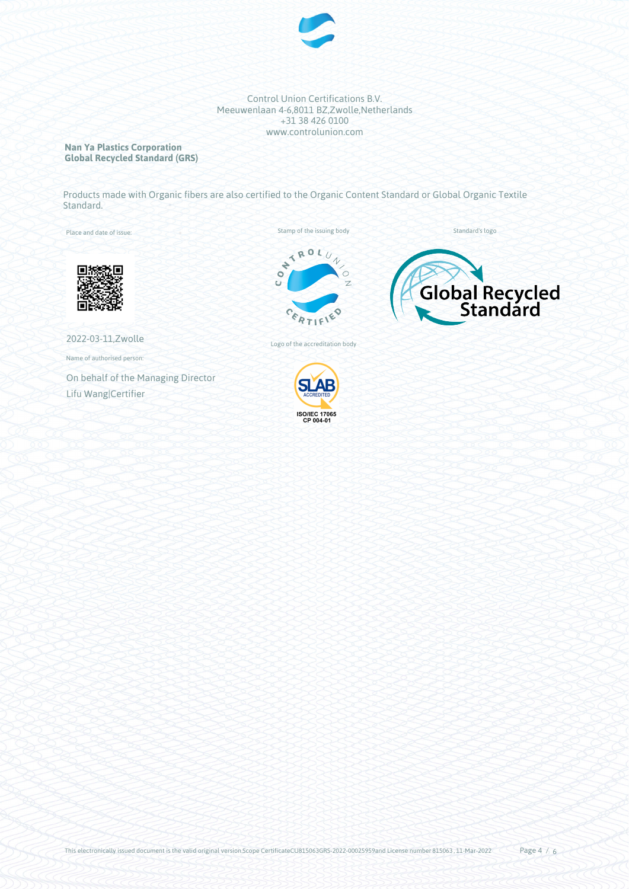

# **Nan Ya Plastics Corporation Global Recycled Standard (GRS)**

Products made with Organic fibers are also certified to the Organic Content Standard or Global Organic Textile Standard.

Place and date of issue:

Stamp of the issuing body



Standard's logo

2022-03-11,Zwolle

Name of authorised person:

On behalf of the Managing Director Lifu Wang|Certifier

Logo of the accreditation body

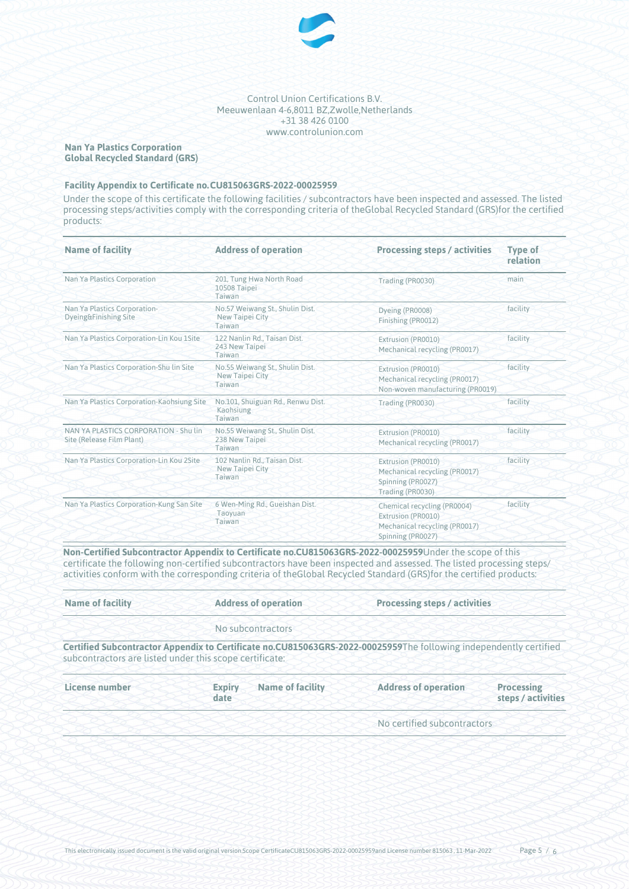

# **Nan Ya Plastics Corporation Global Recycled Standard (GRS)**

## **Facility Appendix to Certificate no.CU815063GRS-2022-00025959**

Under the scope of this certificate the following facilities / subcontractors have been inspected and assessed. The listed processing steps/activities comply with the corresponding criteria of theGlobal Recycled Standard (GRS)for the certified products:

| <b>Name of facility</b>                                            | <b>Address of operation</b>                                         | <b>Processing steps / activities</b>                                                                    | <b>Type of</b><br>relation |
|--------------------------------------------------------------------|---------------------------------------------------------------------|---------------------------------------------------------------------------------------------------------|----------------------------|
| Nan Ya Plastics Corporation                                        | 201, Tung Hwa North Road<br>10508 Taipei<br>Taiwan                  | Trading (PR0030)                                                                                        | main                       |
| Nan Ya Plastics Corporation-<br>Dyeing&Finishing Site              | No.57 Weiwang St., Shulin Dist.<br><b>New Taipei City</b><br>Taiwan | Dyeing (PR0008)<br>Finishing (PR0012)                                                                   | facility                   |
| Nan Ya Plastics Corporation-Lin Kou 1Site                          | 122 Nanlin Rd., Taisan Dist.<br>243 New Taipei<br>Taiwan            | Extrusion (PR0010)<br>Mechanical recycling (PR0017)                                                     | facility                   |
| Nan Ya Plastics Corporation-Shu lin Site                           | No.55 Weiwang St., Shulin Dist.<br>New Taipei City<br>Taiwan        | Extrusion (PR0010)<br>Mechanical recycling (PR0017)<br>Non-woven manufacturing (PR0019)                 | facility                   |
| Nan Ya Plastics Corporation-Kaohsiung Site                         | No.101, Shuiguan Rd., Renwu Dist.<br>Kaohsiung<br>Taiwan            | Trading (PR0030)                                                                                        | facility                   |
| NAN YA PLASTICS CORPORATION - Shu lin<br>Site (Release Film Plant) | No.55 Weiwang St., Shulin Dist.<br>238 New Taipei<br>Taiwan         | Extrusion (PR0010)<br>Mechanical recycling (PR0017)                                                     | facility                   |
| Nan Ya Plastics Corporation-Lin Kou 2Site                          | 102 Nanlin Rd., Taisan Dist.<br>New Taipei City<br>Taiwan           | Extrusion (PR0010)<br>Mechanical recycling (PR0017)<br>Spinning (PR0027)<br>Trading (PR0030)            | facility                   |
| Nan Ya Plastics Corporation-Kung San Site                          | 6 Wen-Ming Rd., Gueishan Dist.<br>Taoyuan<br>Taiwan                 | Chemical recycling (PR0004)<br>Extrusion (PR0010)<br>Mechanical recycling (PR0017)<br>Spinning (PR0027) | facility                   |

**Non-Certified Subcontractor Appendix to Certificate no.CU815063GRS-2022-00025959**Under the scope of this certificate the following non-certified subcontractors have been inspected and assessed. The listed processing steps/ activities conform with the corresponding criteria of theGlobal Recycled Standard (GRS)for the certified products:

| <b>Name of facility</b>                                 | <b>Address of operation</b> |                         | <b>Processing steps / activities</b>                                                                              |                                         |
|---------------------------------------------------------|-----------------------------|-------------------------|-------------------------------------------------------------------------------------------------------------------|-----------------------------------------|
|                                                         |                             | No subcontractors       |                                                                                                                   |                                         |
| subcontractors are listed under this scope certificate: |                             |                         | Certified Subcontractor Appendix to Certificate no.CU815063GRS-2022-00025959The following independently certified |                                         |
| License number                                          | <b>Expiry</b><br>date       | <b>Name of facility</b> | <b>Address of operation</b>                                                                                       | <b>Processing</b><br>steps / activities |
|                                                         |                             |                         | No certified subcontractors                                                                                       |                                         |